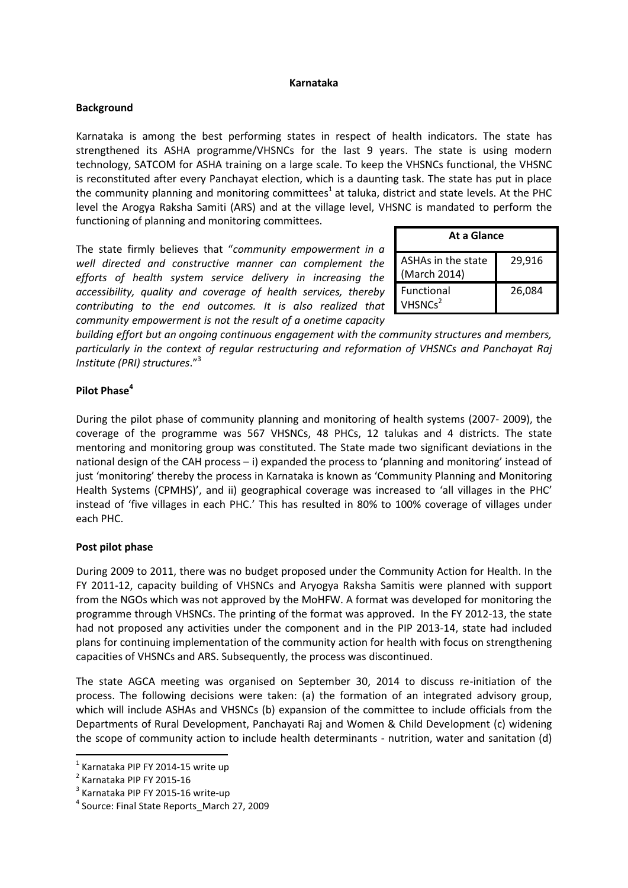## **Karnataka**

## **Background**

Karnataka is among the best performing states in respect of health indicators. The state has strengthened its ASHA programme/VHSNCs for the last 9 years. The state is using modern technology, SATCOM for ASHA training on a large scale. To keep the VHSNCs functional, the VHSNC is reconstituted after every Panchayat election, which is a daunting task. The state has put in place the community planning and monitoring committees<sup>1</sup> at taluka, district and state levels. At the PHC level the Arogya Raksha Samiti (ARS) and at the village level, VHSNC is mandated to perform the functioning of planning and monitoring committees.

The state firmly believes that "*community empowerment in a well directed and constructive manner can complement the efforts of health system service delivery in increasing the accessibility, quality and coverage of health services, thereby contributing to the end outcomes. It is also realized that community empowerment is not the result of a onetime capacity* 

| At a Glance                              |        |
|------------------------------------------|--------|
| ASHAs in the state<br>(March 2014)       | 29,916 |
| <b>Functional</b><br>VHSNCs <sup>2</sup> | 26,084 |

*building effort but an ongoing continuous engagement with the community structures and members, particularly in the context of regular restructuring and reformation of VHSNCs and Panchayat Raj Institute (PRI) structures*." 3

## **Pilot Phase<sup>4</sup>**

During the pilot phase of community planning and monitoring of health systems (2007- 2009), the coverage of the programme was 567 VHSNCs, 48 PHCs, 12 talukas and 4 districts. The state mentoring and monitoring group was constituted. The State made two significant deviations in the national design of the CAH process – i) expanded the process to 'planning and monitoring' instead of just 'monitoring' thereby the process in Karnataka is known as 'Community Planning and Monitoring Health Systems (CPMHS)', and ii) geographical coverage was increased to 'all villages in the PHC' instead of 'five villages in each PHC.' This has resulted in 80% to 100% coverage of villages under each PHC.

## **Post pilot phase**

During 2009 to 2011, there was no budget proposed under the Community Action for Health. In the FY 2011-12, capacity building of VHSNCs and Aryogya Raksha Samitis were planned with support from the NGOs which was not approved by the MoHFW. A format was developed for monitoring the programme through VHSNCs. The printing of the format was approved. In the FY 2012-13, the state had not proposed any activities under the component and in the PIP 2013-14, state had included plans for continuing implementation of the community action for health with focus on strengthening capacities of VHSNCs and ARS. Subsequently, the process was discontinued.

The state AGCA meeting was organised on September 30, 2014 to discuss re-initiation of the process. The following decisions were taken: (a) the formation of an integrated advisory group, which will include ASHAs and VHSNCs (b) expansion of the committee to include officials from the Departments of Rural Development, Panchayati Raj and Women & Child Development (c) widening the scope of community action to include health determinants - nutrition, water and sanitation (d)

**.** 

<sup>&</sup>lt;sup>1</sup> Karnataka PIP FY 2014-15 write up

<sup>&</sup>lt;sup>2</sup> Karnataka PIP FY 2015-16

<sup>3</sup> Karnataka PIP FY 2015-16 write-up

<sup>4</sup> Source: Final State Reports\_March 27, 2009